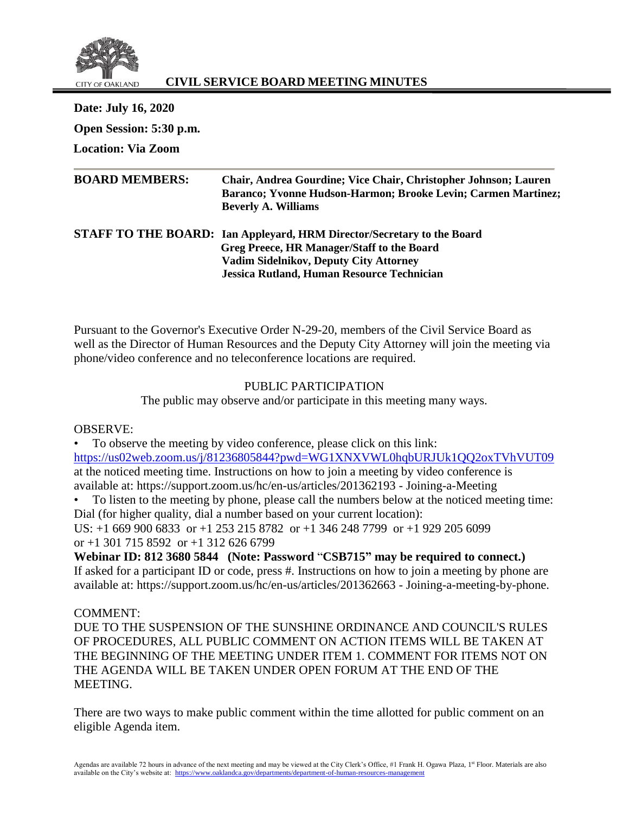

# **CIVIL SERVICE BOARD MEETING MINUTES**

**Date: July 16, 2020 Open Session: 5:30 p.m. Location: Via Zoom**

| Chair, Andrea Gourdine; Vice Chair, Christopher Johnson; Lauren |
|-----------------------------------------------------------------|
| Baranco; Yvonne Hudson-Harmon; Brooke Levin; Carmen Martinez;   |
|                                                                 |
|                                                                 |
|                                                                 |
|                                                                 |
|                                                                 |

Pursuant to the Governor's Executive Order N-29-20, members of the Civil Service Board as well as the Director of Human Resources and the Deputy City Attorney will join the meeting via phone/video conference and no teleconference locations are required.

### PUBLIC PARTICIPATION

The public may observe and/or participate in this meeting many ways.

OBSERVE:

• To observe the meeting by video conference, please click on this link: <https://us02web.zoom.us/j/81236805844?pwd=WG1XNXVWL0hqbURJUk1QQ2oxTVhVUT09> at the noticed meeting time. Instructions on how to join a meeting by video conference is available at: https://support.zoom.us/hc/en-us/articles/201362193 - Joining-a-Meeting

• To listen to the meeting by phone, please call the numbers below at the noticed meeting time: Dial (for higher quality, dial a number based on your current location):

US: +1 669 900 6833 or +1 253 215 8782 or +1 346 248 7799 or +1 929 205 6099 or  $+1$  301 715 8592 or  $+1$  312 626 6799

**Webinar ID: 812 3680 5844 (Note: Password** "**CSB715" may be required to connect.)** If asked for a participant ID or code, press #. Instructions on how to join a meeting by phone are available at: https://support.zoom.us/hc/en-us/articles/201362663 - Joining-a-meeting-by-phone.

COMMENT:

DUE TO THE SUSPENSION OF THE SUNSHINE ORDINANCE AND COUNCIL'S RULES OF PROCEDURES, ALL PUBLIC COMMENT ON ACTION ITEMS WILL BE TAKEN AT THE BEGINNING OF THE MEETING UNDER ITEM 1. COMMENT FOR ITEMS NOT ON THE AGENDA WILL BE TAKEN UNDER OPEN FORUM AT THE END OF THE MEETING.

There are two ways to make public comment within the time allotted for public comment on an eligible Agenda item.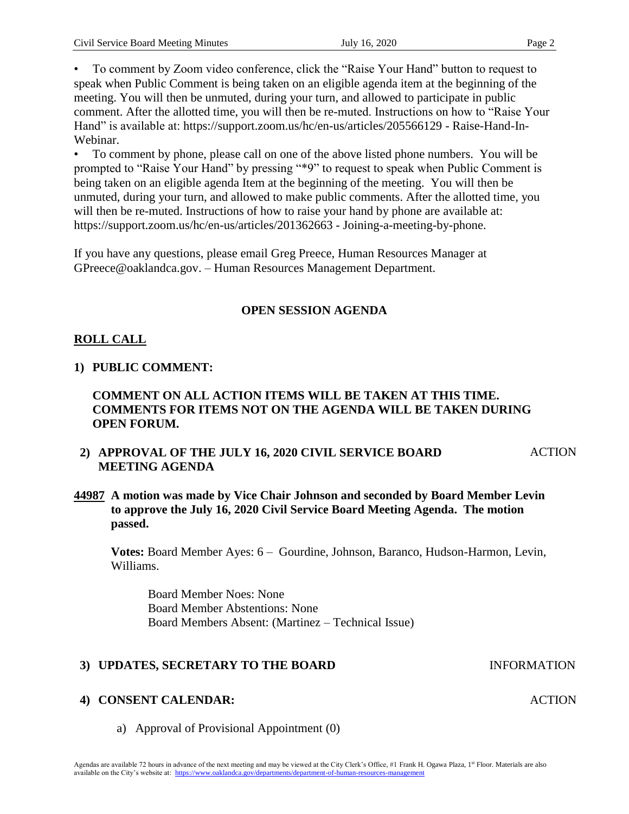• To comment by Zoom video conference, click the "Raise Your Hand" button to request to speak when Public Comment is being taken on an eligible agenda item at the beginning of the meeting. You will then be unmuted, during your turn, and allowed to participate in public comment. After the allotted time, you will then be re-muted. Instructions on how to "Raise Your Hand" is available at: https://support.zoom.us/hc/en-us/articles/205566129 - Raise-Hand-In-Webinar.

• To comment by phone, please call on one of the above listed phone numbers. You will be prompted to "Raise Your Hand" by pressing "\*9" to request to speak when Public Comment is being taken on an eligible agenda Item at the beginning of the meeting. You will then be unmuted, during your turn, and allowed to make public comments. After the allotted time, you will then be re-muted. Instructions of how to raise your hand by phone are available at: https://support.zoom.us/hc/en-us/articles/201362663 - Joining-a-meeting-by-phone.

If you have any questions, please email Greg Preece, Human Resources Manager at GPreece@oaklandca.gov. – Human Resources Management Department.

# **OPEN SESSION AGENDA**

# **ROLL CALL**

# **1) PUBLIC COMMENT:**

## **COMMENT ON ALL ACTION ITEMS WILL BE TAKEN AT THIS TIME. COMMENTS FOR ITEMS NOT ON THE AGENDA WILL BE TAKEN DURING OPEN FORUM.**

- **2) APPROVAL OF THE JULY 16, 2020 CIVIL SERVICE BOARD MEETING AGENDA ACTION**
- **44987 A motion was made by Vice Chair Johnson and seconded by Board Member Levin to approve the July 16, 2020 Civil Service Board Meeting Agenda. The motion passed.**

**Votes:** Board Member Ayes: 6 – Gourdine, Johnson, Baranco, Hudson-Harmon, Levin, Williams.

Board Member Noes: None Board Member Abstentions: None Board Members Absent: (Martinez – Technical Issue)

# **3) UPDATES, SECRETARY TO THE BOARD INFORMATION**

# **4) CONSENT CALENDAR:**

a) Approval of Provisional Appointment (0)

**ACTION**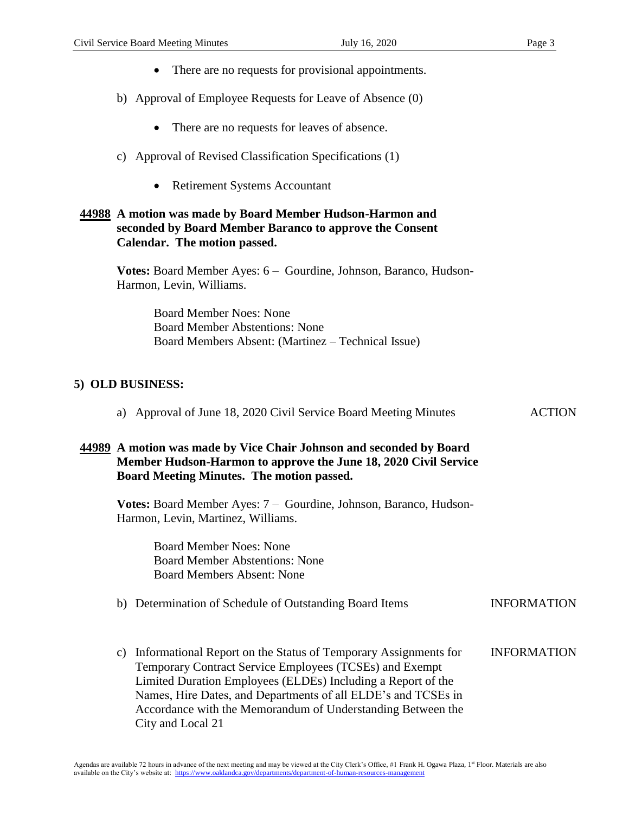- There are no requests for provisional appointments.
- b) Approval of Employee Requests for Leave of Absence (0)
	- There are no requests for leaves of absence.
- c) Approval of Revised Classification Specifications (1)
	- Retirement Systems Accountant

### **44988 A motion was made by Board Member Hudson-Harmon and seconded by Board Member Baranco to approve the Consent Calendar. The motion passed.**

**Votes:** Board Member Ayes: 6 – Gourdine, Johnson, Baranco, Hudson-Harmon, Levin, Williams.

> Board Member Noes: None Board Member Abstentions: None Board Members Absent: (Martinez – Technical Issue)

### **5) OLD BUSINESS:**

a) Approval of June 18, 2020 Civil Service Board Meeting Minutes ACTION

#### **44989 A motion was made by Vice Chair Johnson and seconded by Board Member Hudson-Harmon to approve the June 18, 2020 Civil Service Board Meeting Minutes. The motion passed.**

**Votes:** Board Member Ayes: 7 – Gourdine, Johnson, Baranco, Hudson-Harmon, Levin, Martinez, Williams.

> Board Member Noes: None Board Member Abstentions: None Board Members Absent: None

#### b) Determination of Schedule of Outstanding Board Items **INFORMATION**

c) Informational Report on the Status of Temporary Assignments for Temporary Contract Service Employees (TCSEs) and Exempt Limited Duration Employees (ELDEs) Including a Report of the Names, Hire Dates, and Departments of all ELDE's and TCSEs in Accordance with the Memorandum of Understanding Between the City and Local 21 INFORMATION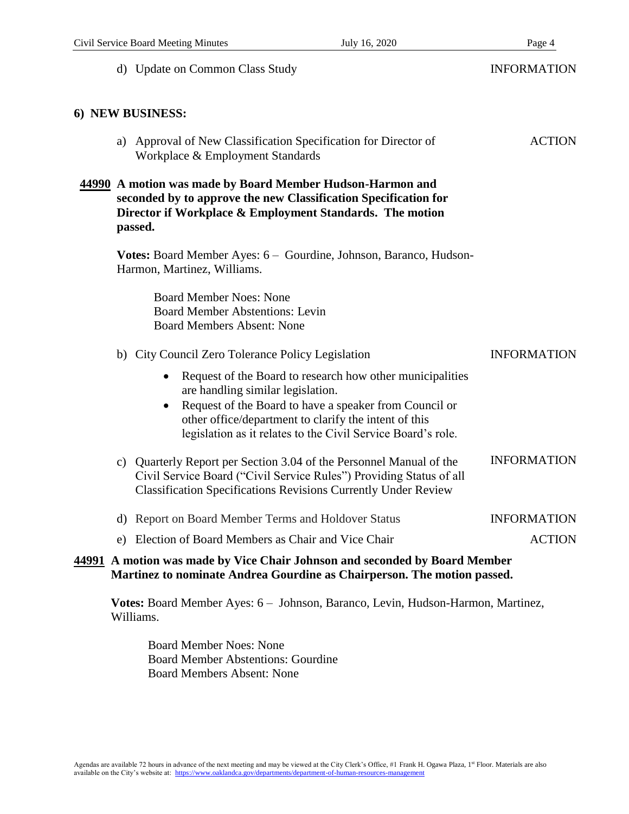|                                                                                                                                                                                                     | d) Update on Common Class Study                                                                                                                                                                                                                                                                | <b>INFORMATION</b> |
|-----------------------------------------------------------------------------------------------------------------------------------------------------------------------------------------------------|------------------------------------------------------------------------------------------------------------------------------------------------------------------------------------------------------------------------------------------------------------------------------------------------|--------------------|
|                                                                                                                                                                                                     | 6) NEW BUSINESS:                                                                                                                                                                                                                                                                               |                    |
|                                                                                                                                                                                                     | a) Approval of New Classification Specification for Director of<br>Workplace & Employment Standards                                                                                                                                                                                            | <b>ACTION</b>      |
| 44990 A motion was made by Board Member Hudson-Harmon and<br>seconded by to approve the new Classification Specification for<br>Director if Workplace & Employment Standards. The motion<br>passed. |                                                                                                                                                                                                                                                                                                |                    |
|                                                                                                                                                                                                     | Votes: Board Member Ayes: 6 - Gourdine, Johnson, Baranco, Hudson-<br>Harmon, Martinez, Williams.                                                                                                                                                                                               |                    |
|                                                                                                                                                                                                     | <b>Board Member Noes: None</b><br><b>Board Member Abstentions: Levin</b><br><b>Board Members Absent: None</b>                                                                                                                                                                                  |                    |
|                                                                                                                                                                                                     | b) City Council Zero Tolerance Policy Legislation                                                                                                                                                                                                                                              | <b>INFORMATION</b> |
|                                                                                                                                                                                                     | Request of the Board to research how other municipalities<br>$\bullet$<br>are handling similar legislation.<br>Request of the Board to have a speaker from Council or<br>other office/department to clarify the intent of this<br>legislation as it relates to the Civil Service Board's role. |                    |
|                                                                                                                                                                                                     | c) Quarterly Report per Section 3.04 of the Personnel Manual of the<br>Civil Service Board ("Civil Service Rules") Providing Status of all<br><b>Classification Specifications Revisions Currently Under Review</b>                                                                            | <b>INFORMATION</b> |
|                                                                                                                                                                                                     | d) Report on Board Member Terms and Holdover Status                                                                                                                                                                                                                                            | <b>INFORMATION</b> |
| e)                                                                                                                                                                                                  | Election of Board Members as Chair and Vice Chair                                                                                                                                                                                                                                              | <b>ACTION</b>      |
|                                                                                                                                                                                                     | 44991 A motion was made by Vice Chair Johnson and seconded by Board Member<br>Martinez to nominate Andrea Gourdine as Chairperson. The motion passed.                                                                                                                                          |                    |

**Votes:** Board Member Ayes: 6 – Johnson, Baranco, Levin, Hudson-Harmon, Martinez, Williams.

Board Member Noes: None Board Member Abstentions: Gourdine Board Members Absent: None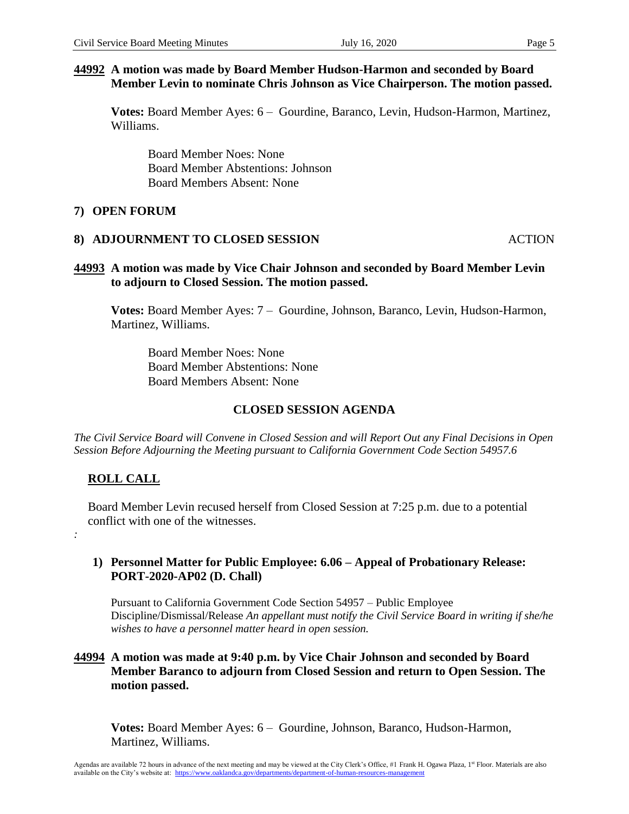# **44992 A motion was made by Board Member Hudson-Harmon and seconded by Board Member Levin to nominate Chris Johnson as Vice Chairperson. The motion passed.**

**Votes:** Board Member Ayes: 6 – Gourdine, Baranco, Levin, Hudson-Harmon, Martinez, Williams.

Board Member Noes: None Board Member Abstentions: Johnson Board Members Absent: None

### **7) OPEN FORUM**

#### **8) ADJOURNMENT TO CLOSED SESSION** ACTION

## **44993 A motion was made by Vice Chair Johnson and seconded by Board Member Levin to adjourn to Closed Session. The motion passed.**

**Votes:** Board Member Ayes: 7 – Gourdine, Johnson, Baranco, Levin, Hudson-Harmon, Martinez, Williams.

Board Member Noes: None Board Member Abstentions: None Board Members Absent: None

## **CLOSED SESSION AGENDA**

*The Civil Service Board will Convene in Closed Session and will Report Out any Final Decisions in Open Session Before Adjourning the Meeting pursuant to California Government Code Section 54957.6*

# **ROLL CALL**

*:*

Board Member Levin recused herself from Closed Session at 7:25 p.m. due to a potential conflict with one of the witnesses.

### **1) Personnel Matter for Public Employee: 6.06 – Appeal of Probationary Release: PORT-2020-AP02 (D. Chall)**

Pursuant to California Government Code Section 54957 – Public Employee Discipline/Dismissal/Release *An appellant must notify the Civil Service Board in writing if she/he wishes to have a personnel matter heard in open session.*

### **44994 A motion was made at 9:40 p.m. by Vice Chair Johnson and seconded by Board Member Baranco to adjourn from Closed Session and return to Open Session. The motion passed.**

**Votes:** Board Member Ayes: 6 – Gourdine, Johnson, Baranco, Hudson-Harmon, Martinez, Williams.